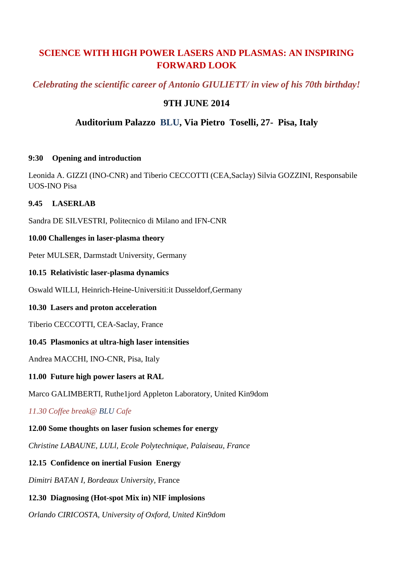# **SCIENCE WITH HIGH POWER LASERS AND PLASMAS: AN INSPIRING FORWARD LOOK**

# *Celebrating the scientific career of Antonio GIULIETT/ in view of his 70th birthday!*

# **9TH JUNE 2014**

# **Auditorium Palazzo BLU, Via Pietro Toselli, 27- Pisa, Italy**

#### **9:30 Opening and introduction**

Leonida A. GIZZI (INO-CNR) and Tiberio CECCOTTI (CEA,Saclay) Silvia GOZZINI, Responsabile UOS-INO Pisa

#### **9.45 LASERLAB**

Sandra DE SILVESTRI, Politecnico di Milano and IFN-CNR

#### **10.00 Challenges in laser-plasma theory**

Peter MULSER, Darmstadt University, Germany

#### **10.15 Relativistic laser-plasma dynamics**

Oswald WILLI, Heinrich-Heine-Universiti:it Dusseldorf,Germany

# **10.30 Lasers and proton acceleration**

Tiberio CECCOTTI, CEA-Saclay, France

# **10.45 Plasmonics at ultra-high laser intensities**

Andrea MACCHI, INO-CNR, Pisa, Italy

# **11.00 Future high power lasers at RAL**

Marco GALIMBERTI, Ruthe1jord Appleton Laboratory, United Kin9dom

*11.30 Coffee break@ BLU Cafe*

# **12.00 Some thoughts on laser fusion schemes for energy**

*Christine LABAUNE, LULl, Ecole Polytechnique, Palaiseau, France*

# **12.15 Confidence on inertial Fusion Energy**

*Dimitri BATAN I, Bordeaux University,* France

# **12.30 Diagnosing (Hot-spot Mix in) NIF implosions**

*Orlando CIRICOSTA, University of Oxford, United Kin9dom*